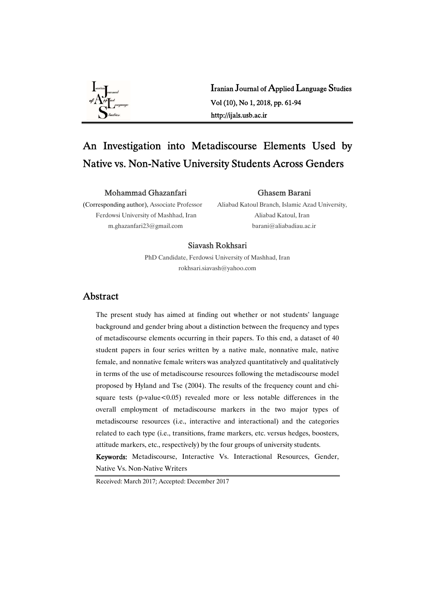

Iranian Journal of Applied Language Studies Vol(10),No1,2018,pp.61-94 http://ijals.usb.ac.ir

# An Investigation into Metadiscourse Elements Used by Native vs. Non-Native University Students Across Genders

#### MohammadGhazanfari

#### Ghasem Barani

(Corresponding author), Associate Professor Ferdowsi University of Mashhad, Iran m.ghazanfari23@gmail.com

Aliabad Katoul Branch, Islamic Azad University, Aliabad Katoul, Iran barani@aliabadiau.ac.ir

#### Siavash Rokhsari

PhD Candidate, Ferdowsi University of Mashhad, Iran rokhsari.siavash@yahoo.com

## Abstract

The present study has aimed at finding out whether or not students' language background and gender bring about a distinction between the frequency and types of metadiscourse elements occurring in their papers. To this end, a dataset of 40 student papers in four series written by a native male, nonnative male, native female, and nonnative female writers was analyzed quantitatively and qualitatively in terms of the use of metadiscourse resources following the metadiscourse model proposed by Hyland and Tse (2004). The results of the frequency count and chisquare tests (p-value $<0.05$ ) revealed more or less notable differences in the overall employment of metadiscourse markers in the two major types of metadiscourse resources (i.e., interactive and interactional) and the categories related to each type (i.e., transitions, frame markers, etc. versus hedges, boosters, attitude markers, etc., respectively) by the four groups of university students.

Keywords: Metadiscourse, Interactive Vs. Interactional Resources, Gender, Native Vs. Non-Native Writers

Received: March 2017; Accepted: December 2017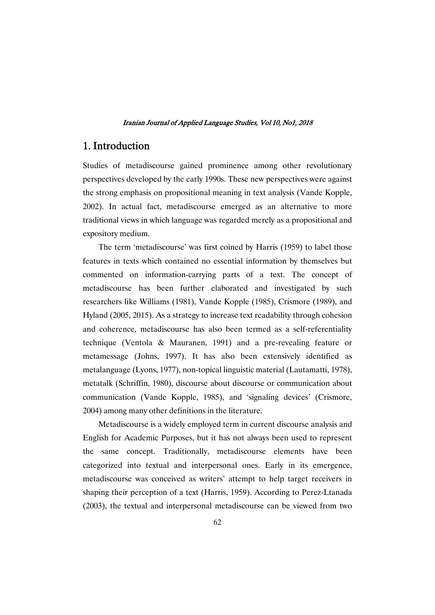## 1. Introduction

Studies of metadiscourse gained prominence among other revolutionary perspectives developed by the early 1990s. These new perspectives were against the strong emphasis on propositional meaning in text analysis (Vande Kopple, 2002). In actual fact, metadiscourse emerged as an alternative to more traditional views in which language was regarded merely as a propositional and expository medium.

The term 'metadiscourse' was first coined by Harris (1959) to label those features in texts which contained no essential information by themselves but commented on information-carrying parts of a text. The concept of metadiscourse has been further elaborated and investigated by such researchers like Williams (1981), Vande Kopple (1985), Crismore (1989), and Hyland (2005, 2015). As a strategy to increase text readability through cohesion and coherence, metadiscourse has also been termed as a self-referentiality technique (Ventola & Mauranen, 1991) and a pre-revealing feature or metamessage (Johns, 1997). It has also been extensively identified as metalanguage (Lyons, 1977), non-topical linguistic material (Lautamatti, 1978), metatalk (Schriffin, 1980), discourse about discourse or communication about communication (Vande Kopple, 1985), and 'signaling devices' (Crismore, 2004) among many other definitions in the literature.

Metadiscourse is a widely employed term in current discourse analysis and English for Academic Purposes, but it has not always been used to represent the same concept. Traditionally, metadiscourse elements have been categorized into textual and interpersonal ones. Early in its emergence, metadiscourse was conceived as writers' attempt to help target receivers in shaping their perception of a text (Harris, 1959). According to Perez-Ltanada  $(2003)$ , the textual and interpersonal metadiscourse can be viewed from two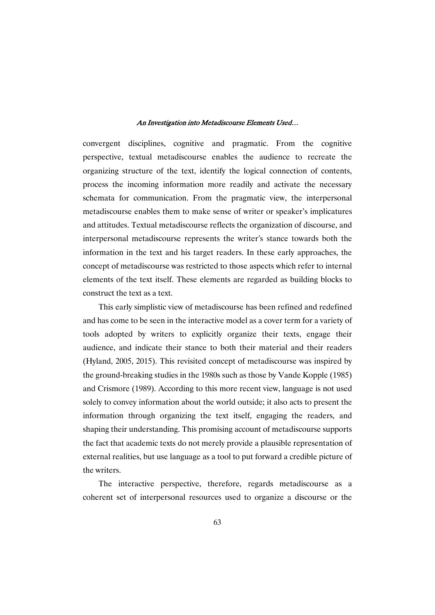convergent disciplines, cognitive and pragmatic. From the cognitive perspective, textual metadiscourse enables the audience to recreate the organizing structure of the text, identify the logical connection of contents, process the incoming information more readily and activate the necessary schemata for communication. From the pragmatic view, the interpersonal metadiscourse enables them to make sense of writer or speaker's implicatures and attitudes. Textual metadiscourse reflects the organization of discourse, and interpersonal metadiscourse represents the writer's stance towards both the information in the text and his target readers. In these early approaches, the concept of metadiscourse was restricted to those aspects which refer to internal elements of the text itself. These elements are regarded as building blocks to construct the text as a text.

This early simplistic view of metadiscourse has been refined and redefined and has come to be seen in the interactive model as a cover term for a variety of tools adopted by writers to explicitly organize their texts, engage their audience, and indicate their stance to both their material and their readers (Hyland, 2005, 2015). This revisited concept of metadiscourse was inspired by the ground-breaking studies in the 1980s such as those by Vande Kopple (1985) and Crismore (1989). According to this more recent view, language is not used solely to convey information about the world outside; it also acts to present the information through organizing the text itself, engaging the readers, and shaping their understanding. This promising account of metadiscourse supports the fact that academic texts do not merely provide a plausible representation of external realities, but use language as a tool to put forward a credible picture of thewriters.

The interactive perspective, therefore, regards metadiscourse as a coherent set of interpersonal resources used to organize a discourse or the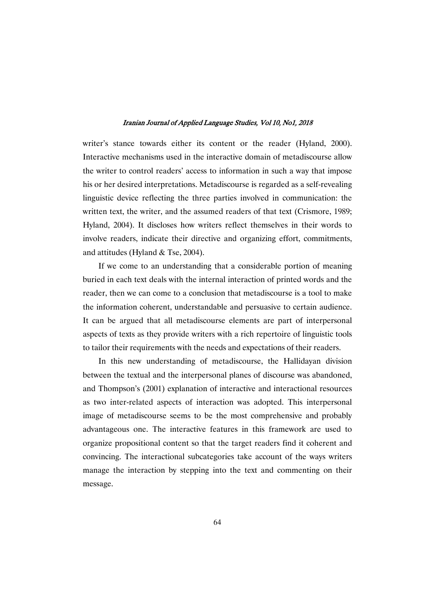writer's stance towards either its content or the reader (Hyland, 2000). Interactive mechanisms used in the interactive domain of metadiscourse allow the writer to control readers' access to information in such a way that impose his or her desired interpretations. Metadiscourse is regarded as a self-revealing linguistic device reflecting the three parties involved in communication: the written text, the writer, and the assumed readers of that text (Crismore, 1989; Hyland, 2004). It discloses how writers reflect themselves in their words to involve readers, indicate their directive and organizing effort, commitments, and attitudes (Hyland & Tse, 2004).

If we come to an understanding that a considerable portion of meaning buried in each text deals with the internal interaction of printed words and the reader, then we can come to a conclusion that metadiscourse is a tool to make the information coherent, understandable and persuasive to certain audience. It can be argued that all metadiscourse elements are part of interpersonal aspects of texts as they provide writers with a rich repertoire of linguistic tools to tailor their requirements with the needs and expectations of their readers.

In this new understanding of metadiscourse, the Hallidayan division between the textual and the interpersonal planes of discourse was abandoned, and Thompson's (2001) explanation of interactive and interactional resources as two inter-related aspects of interaction was adopted. This interpersonal image of metadiscourse seems to be the most comprehensive and probably advantageous one. The interactive features in this framework are used to organize propositional content so that the target readers find it coherent and convincing. The interactional subcategories take account of the ways writers manage the interaction by stepping into the text and commenting on their message.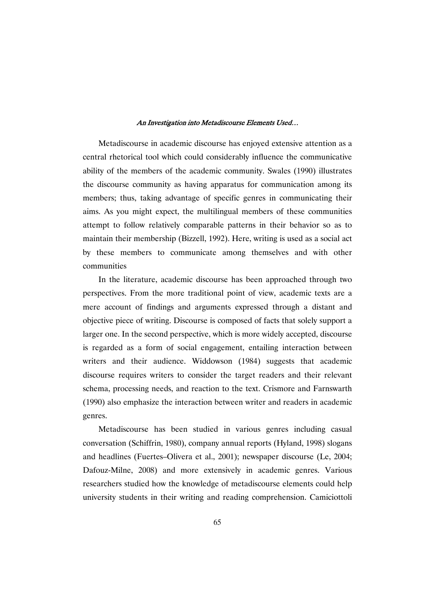Metadiscourse in academic discourse has enjoyed extensive attention as a central rhetorical tool which could considerably influence the communicative ability of the members of the academic community. Swales (1990) illustrates the discourse community as having apparatus for communication among its members; thus, taking advantage of specific genres in communicating their aims. As you might expect, the multilingual members of these communities attempt to follow relatively comparable patterns in their behavior so as to maintain their membership (Bizzell, 1992). Here, writing is used as a social act by these members to communicate among themselves and with other communities

In the literature, academic discourse has been approached through two perspectives. From the more traditional point of view, academic texts are a mere account of findings and arguments expressed through a distant and objective piece of writing. Discourse is composed of facts that solely support a larger one. In the second perspective, which is more widely accepted, discourse is regarded as a form of social engagement, entailing interaction between writers and their audience. Widdowson (1984) suggests that academic discourse requires writers to consider the target readers and their relevant schema, processing needs, and reaction to the text. Crismore and Farnswarth  $(1990)$  also emphasize the interaction between writer and readers in academic genres.

Metadiscourse has been studied in various genres including casual conversation (Schiffrin, 1980), company annual reports (Hyland, 1998) slogans and headlines (Fuertes–Olivera et al., 2001); newspaper discourse (Le, 2004; Dafouz-Milne, 2008) and more extensively in academic genres. Various researchers studied how the knowledge of metadiscourse elements could help university students in their writing and reading comprehension. Camiciottoli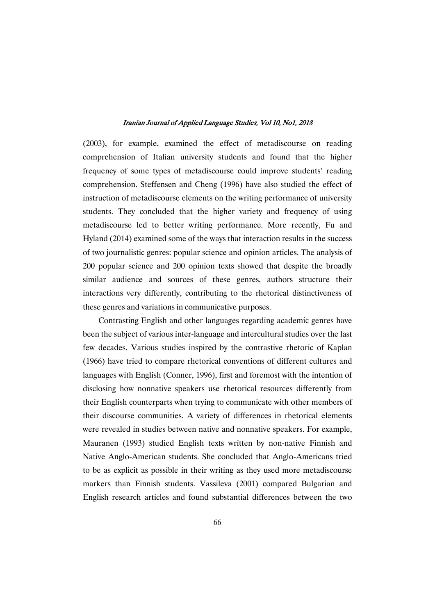(2003), for example, examined the effect of metadiscourse on reading comprehension of Italian university students and found that the higher frequency of some types of metadiscourse could improve students' reading comprehension. Steffensen and Cheng (1996) have also studied the effect of instruction of metadiscourse elements on the writing performance of university students. They concluded that the higher variety and frequency of using metadiscourse led to better writing performance. More recently, Fu and Hyland  $(2014)$  examined some of the ways that interaction results in the success of two journalistic genres: popular science and opinion articles. The analysis of 200 popular science and 200 opinion texts showed that despite the broadly similar audience and sources of these genres, authors structure their interactions very differently, contributing to the rhetorical distinctiveness of these genres and variations in communicative purposes.

Contrasting English and other languages regarding academic genres have been the subject of various inter-language and intercultural studies over the last few decades. Various studies inspired by the contrastive rhetoric of Kaplan (1966) have tried to compare rhetorical conventions of different cultures and languages with English (Conner, 1996), first and foremost with the intention of disclosing how nonnative speakers use rhetorical resources differently from their English counterparts when trying to communicate with other members of their discourse communities. A variety of differences in rhetorical elements were revealed in studies between native and nonnative speakers. For example, Mauranen (1993) studied English texts written by non-native Finnish and Native Anglo-American students. She concluded that Anglo-Americans tried to be as explicit as possible in their writing as they used more metadiscourse markers than Finnish students. Vassileva (2001) compared Bulgarian and English research articles and found substantial differences between the two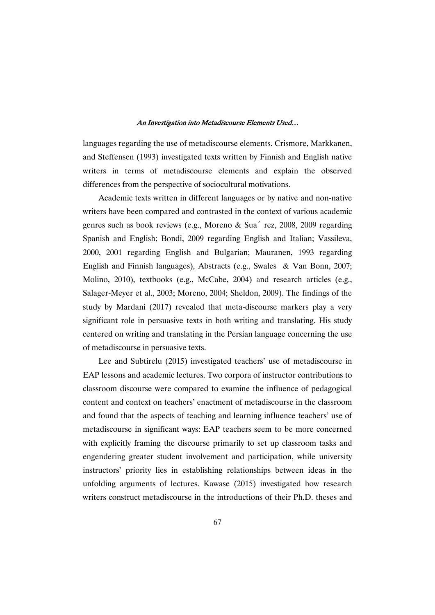languages regarding the use of metadiscourse elements. Crismore, Markkanen, and Steffensen (1993) investigated texts written by Finnish and English native writers in terms of metadiscourse elements and explain the observed differences from the perspective of sociocultural motivations.

Academic texts written in different languages or by native and non-native writers have been compared and contrasted in the context of various academic genres such as book reviews (e.g., Moreno & Sua<sup> $\degree$ </sup> rez, 2008, 2009 regarding Spanish and English; Bondi, 2009 regarding English and Italian; Vassileva, 2000, 2001 regarding English and Bulgarian; Mauranen, 1993 regarding English and Finnish languages), Abstracts (e.g., Swales & Van Bonn, 2007; Molino, 2010), textbooks (e.g., McCabe, 2004) and research articles (e.g., Salager-Meyer et al., 2003; Moreno, 2004; Sheldon, 2009). The findings of the study by Mardani (2017) revealed that meta-discourse markers play a very significant role in persuasive texts in both writing and translating. His study centered on writing and translating in the Persian language concerning the use of metadiscourse in persuasive texts.

Lee and Subtirelu (2015) investigated teachers' use of metadiscourse in EAP lessons and academic lectures. Two corpora of instructor contributions to classroom discourse were compared to examine the influence of pedagogical content and context on teachers' enactment of metadiscourse in the classroom and found that the aspects of teaching and learning influence teachers' use of metadiscourse in significant ways: EAP teachers seem to be more concerned with explicitly framing the discourse primarily to set up classroom tasks and engendering greater student involvement and participation, while university instructors' priority lies in establishing relationships between ideas in the unfolding arguments of lectures. Kawase (2015) investigated how research writers construct metadiscourse in the introductions of their Ph.D. theses and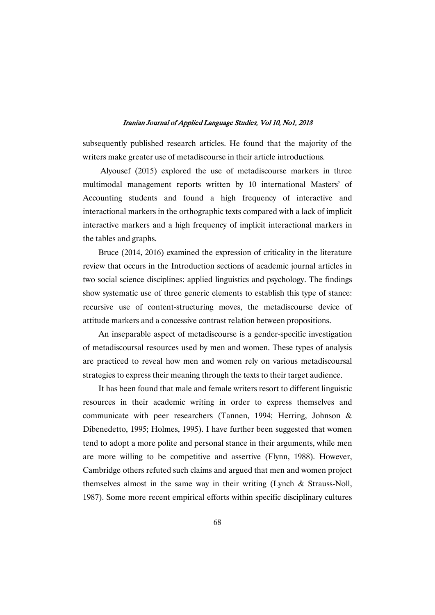subsequently published research articles. He found that the majority of the writers make greater use of metadiscourse in their article introductions.

Alyousef (2015) explored the use of metadiscourse markers in three multimodal management reports written by 10 international Masters' of Accounting students and found a high frequency of interactive and interactional markers in the orthographic texts compared with a lack of implicit interactive markers and a high frequency of implicit interactional markers in the tables and graphs.

Bruce  $(2014, 2016)$  examined the expression of criticality in the literature review that occurs in the Introduction sections of academic journal articles in two social science disciplines: applied linguistics and psychology. The findings show systematic use of three generic elements to establish this type of stance: recursive use of content-structuring moves, the metadiscourse device of attitude markers and a concessive contrast relation between propositions.

An inseparable aspect of metadiscourse is a gender-specific investigation of metadiscoursal resources used by men and women. These types of analysis are practiced to reveal how men and women rely on various metadiscoursal strategies to express their meaning through the texts to their target audience.

It has been found that male and female writers resort to different linguistic resources in their academic writing in order to express themselves and communicate with peer researchers (Tannen, 1994; Herring, Johnson & Dibenedetto, 1995; Holmes, 1995). I have further been suggested that women tend to adopt a more polite and personal stance in their arguments, while men are more willing to be competitive and assertive (Flynn, 1988). However, Cambridge others refuted such claims and argued that men and women project themselves almost in the same way in their writing (Lynch & Strauss-Noll, 1987). Some more recent empirical efforts within specific disciplinary cultures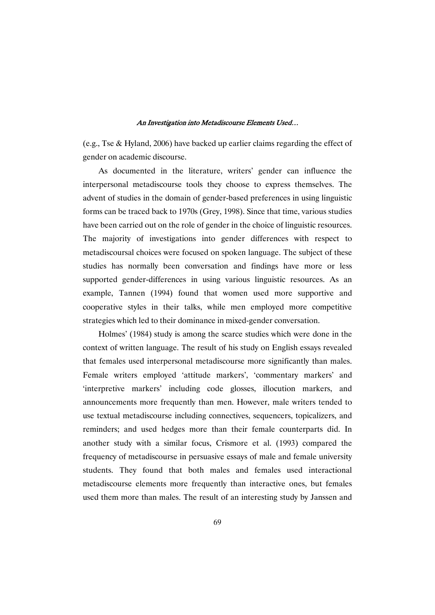(e.g., Tse  $&$  Hyland, 2006) have backed up earlier claims regarding the effect of gender on academic discourse.

As documented in the literature, writers' gender can influence the interpersonal metadiscourse tools they choose to express themselves. The advent of studies in the domain of gender-based preferences in using linguistic forms can be traced back to 1970s (Grey, 1998). Since that time, various studies have been carried out on the role of gender in the choice of linguistic resources. The majority of investigations into gender differences with respect to metadiscoursal choices were focused on spoken language. The subject of these studies has normally been conversation and findings have more or less supported gender-differences in using various linguistic resources. As an example, Tannen (1994) found that women used more supportive and cooperative styles in their talks, while men employed more competitive strategies which led to their dominance in mixed-gender conversation.

Holmes' (1984) study is among the scarce studies which were done in the context of written language. The result of his study on English essays revealed that females used interpersonal metadiscourse more significantly than males. Female writers employed 'attitude markers', 'commentary markers' and 'interpretive markers' including code glosses, illocution markers, and announcements more frequently than men. However, male writers tended to use textual metadiscourse including connectives, sequencers, topicalizers, and reminders; and used hedges more than their female counterparts did. In another study with a similar focus, Crismore et al. (1993) compared the frequency of metadiscourse in persuasive essays of male and female university students. They found that both males and females used interactional metadiscourse elements more frequently than interactive ones, but females used them more than males. The result of an interesting study by Janssen and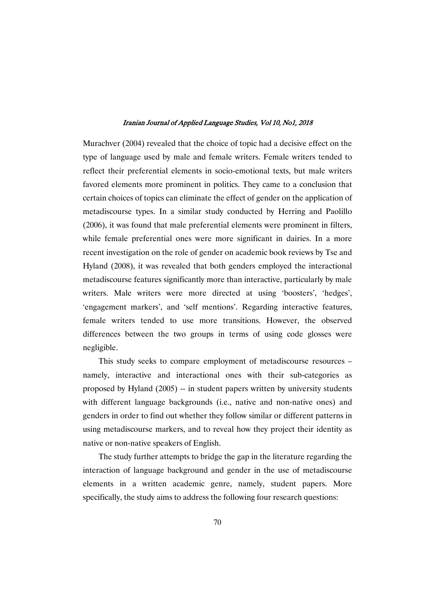Murachver (2004) revealed that the choice of topic had a decisive effect on the type of language used by male and female writers. Female writers tended to reflect their preferential elements in socio-emotional texts, but male writers favored elements more prominent in politics. They came to a conclusion that certain choices of topics can eliminate the effect of gender on the application of metadiscourse types. In a similar study conducted by Herring and Paolillo  $(2006)$ , it was found that male preferential elements were prominent in filters, while female preferential ones were more significant in dairies. In a more recent investigation on the role of gender on academic book reviews by Tse and Hyland (2008), it was revealed that both genders employed the interactional metadiscourse features significantly more than interactive, particularly by male writers. Male writers were more directed at using 'boosters', 'hedges', 'engagement markers', and 'self mentions'. Regarding interactive features, female writers tended to use more transitions. However, the observed differences between the two groups in terms of using code glosses were negligible.

This study seeks to compare employment of metadiscourse resources – namely, interactive and interactional ones with their sub-categories as proposed by Hyland (2005) -- in student papers written by university students with different language backgrounds (i.e., native and non-native ones) and genders in order to find out whether they follow similar or different patterns in using metadiscourse markers, and to reveal how they project their identity as native or non-native speakers of English.

The study further attempts to bridge the gap in the literature regarding the interaction of language background and gender in the use of metadiscourse elements in a written academic genre, namely, student papers. More specifically, the study aims to address the following four research questions: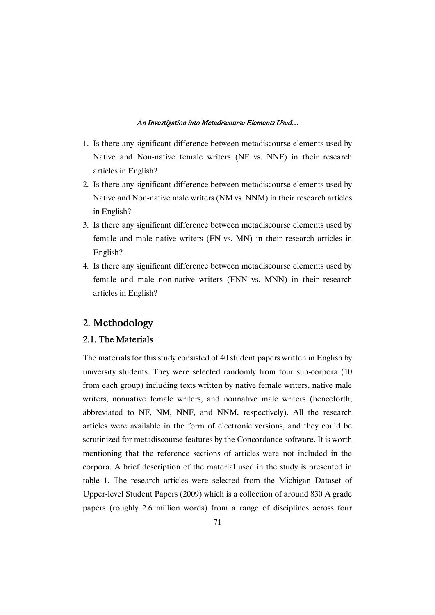- 1. Is there any significant difference between metadiscourse elements used by Native and Non-native female writers (NF vs. NNF) in their research articles in English?
- 2. Is there any significant difference between metadiscourse elements used by Native and Non-native male writers (NM vs. NNM) in their research articles in English?
- 3. Is there any significant difference between metadiscourse elements used by female and male native writers (FN vs. MN) in their research articles in English?
- 4. Is there any significant difference between metadiscourse elements used by female and male non-native writers (FNN vs. MNN) in their research articles in English?

## 2. Methodology

### 2.1. The Materials

The materials for this study consisted of 40 student papers written in English by university students. They were selected randomly from four sub-corpora (10 from each group) including texts written by native female writers, native male writers, nonnative female writers, and nonnative male writers (henceforth, abbreviated to NF, NM, NNF, and NNM, respectively). All the research articles were available in the form of electronic versions, and they could be scrutinized for metadiscourse features by the Concordance software. It is worth mentioning that the reference sections of articles were not included in the corpora. A brief description of the material used in the study is presented in table 1. The research articles were selected from the Michigan Dataset of Upper-level Student Papers (2009) which is a collection of around 830 A grade papers (roughly 2.6 million words) from a range of disciplines across four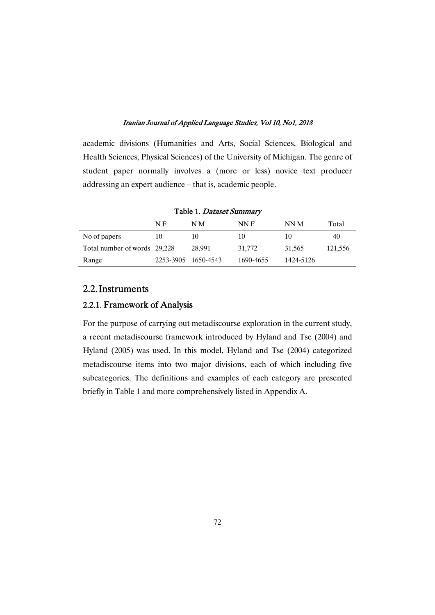academic divisions (Humanities and Arts, Social Sciences, Biological and Health Sciences, Physical Sciences) of the University of Michigan. The genre of student paper normally involves a (more or less) novice text producer addressing an expert audience – that is, academic people.

|                              |           | Table 1. Dataset Summary |           |           |         |
|------------------------------|-----------|--------------------------|-----------|-----------|---------|
|                              | N F       | NМ                       | NN F      | NN M      | Total   |
| No of papers                 | 10        | 10                       | 10        | 10        | 40      |
| Total number of words 29,228 |           | 28,991                   | 31,772    | 31,565    | 121,556 |
| Range                        | 2253-3905 | 1650-4543                | 1690-4655 | 1424-5126 |         |

## 2.2.Instruments

### 2.2.1. Framework of Analysis

For the purpose of carrying out metadiscourse exploration in the current study, a recent metadiscourse framework introduced by Hyland and Tse (2004) and Hyland (2005) was used. In this model, Hyland and Tse (2004) categorized metadiscourse items into two major divisions, each of which including five subcategories. The definitions and examples of each category are presented briefly in Table 1 and more comprehensively listed in Appendix A.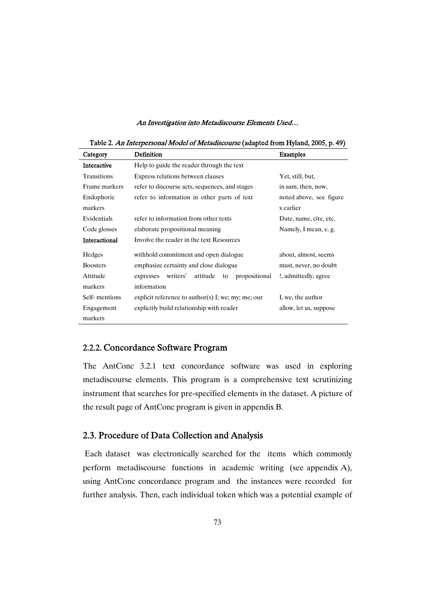Table 2. An Interpersonal Model of Metadiscourse (adapted from Hyland, 2005, p. 49)

| Category           | Definition                                               | Examples                |
|--------------------|----------------------------------------------------------|-------------------------|
| <b>Interactive</b> | Help to guide the reader through the text                |                         |
| <b>Transitions</b> | Express relations between clauses                        | Yet, still, but,        |
| Frame markers      | refer to discourse acts, sequences, and stages           | in sum, then, now,      |
| Endophoric         | refer to information in other parts of text              | noted above, see figure |
| markers            |                                                          | x earlier               |
| Evidentials        | refer to information from other texts                    | Date, name, cite, etc.  |
| Code glosses       | elaborate propositional meaning                          | Namely, I mean, e. g.   |
| Interactional      | Involve the reader in the text Resources                 |                         |
| Hedges             | withhold commitment and open dialogue                    | about, almost, seems    |
| <b>Boosters</b>    | emphasize certainty and close dialogue                   | must, never, no doubt   |
| Attitude           | propositional<br>writers'<br>attitude<br>expresses<br>to | !, admittedly, agree    |
| markers            | information                                              |                         |
| Self-mentions      | explicit reference to author(s) I; we; my; me; our       | I, we, the author       |
| Engagement         | explicitly build relationship with reader                | allow, let us, suppose  |
| markers            |                                                          |                         |

### 2.2.2. Concordance Software Program

The AntConc 3.2.1 text concordance software was used in exploring metadiscourse elements. This program is a comprehensive text scrutinizing instrument that searches for pre-specified elements in the dataset. A picture of the result page of AntConc program is given in appendix B.

### 2.3. Procedure of Data Collection and Analysis

Each dataset was electronically searched for the items which commonly perform metadiscourse functions in academic writing (see appendix A), using AntConc concordance program and the instances were recorded for further analysis. Then, each individual token which was a potential example of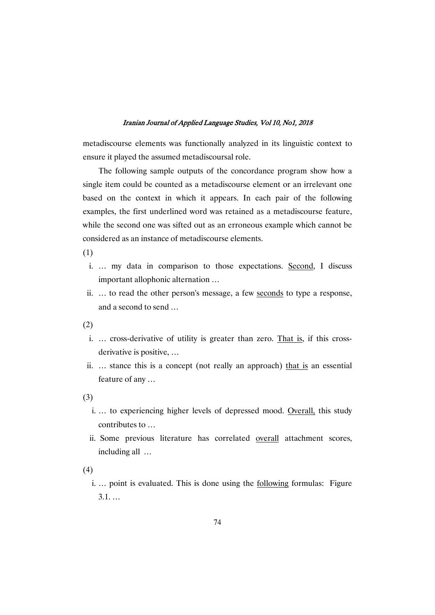metadiscourse elements was functionally analyzed in its linguistic context to ensure it played the assumed metadiscoursal role.

The following sample outputs of the concordance program show how a single item could be counted as a metadiscourse element or an irrelevant one based on the context in which it appears. In each pair of the following examples, the first underlined word was retained as a metadiscourse feature, while the second one was sifted out as an erroneous example which cannot be considered as an instance of metadiscourse elements.

(1)

- i. … my data in comparison to those expectations. Second, I discuss important allophonic alternation ...
- ii. ... to read the other person's message, a few seconds to type a response, and a second to send  $\ldots$

(2)

- i. … cross-derivative of utility is greater than zero. That is, if this crossderivative is positive, ...
- ii. … stance this is a concept (not really an approach) that is an essential feature of any ...

(3)

- i. … to experiencing higher levels of depressed mood. Overall, this study contributes to ...
- ii. Some previous literature has correlated overall attachment scores, includingall…

(4)

i. ... point is evaluated. This is done using the following formulas: Figure 3.1.…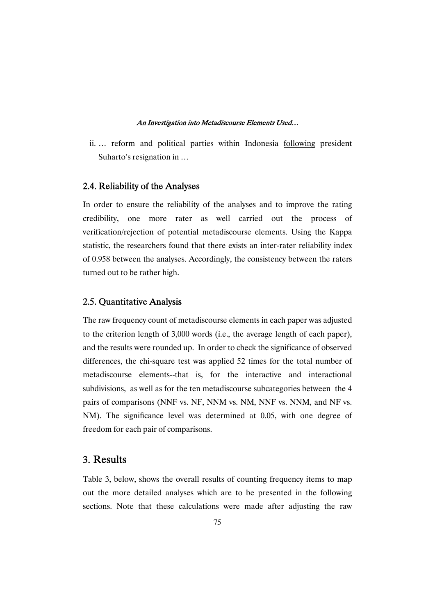ii. … reform and political parties within Indonesia following president Suharto's resignation in ...

### 2.4. Reliability of the Analyses

In order to ensure the reliability of the analyses and to improve the rating credibility, one more rater as well carried out the process of verification/rejection of potential metadiscourse elements. Using the Kappa statistic, the researchers found that there exists an inter-rater reliability index of 0.958 between the analyses. Accordingly, the consistency between the raters turned out to be rather high.

### 2.5. Quantitative Analysis

The raw frequency count of metadiscourse elements in each paper was adjusted to the criterion length of 3,000 words (i.e., the average length of each paper), and the results were rounded up. In order to check the significance of observed differences, the chi-square test was applied 52 times for the total number of metadiscourse elements--that is, for the interactive and interactional subdivisions, as well as for the ten metadiscourse subcategories between the 4 pairs of comparisons (NNF vs. NF, NNM vs. NM, NNF vs. NNM, and NF vs. NM). The significance level was determined at 0.05, with one degree of freedom for each pair of comparisons.

## 3. Results

Table 3, below, shows the overall results of counting frequency items to map out the more detailed analyses which are to be presented in the following sections. Note that these calculations were made after adjusting the raw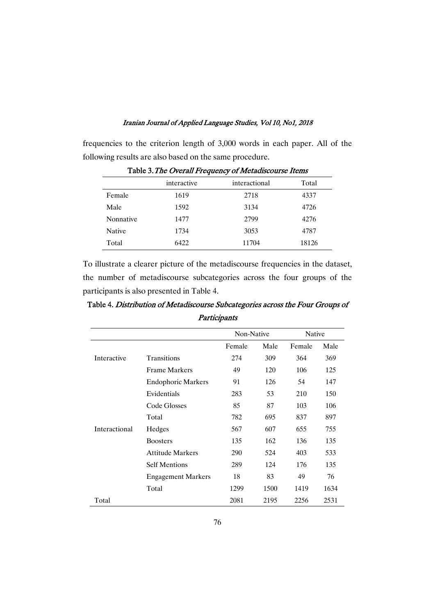frequencies to the criterion length of 3,000 words in each paper. All of the following results are also based on the same procedure.

|               | interactive | interactional | Total |
|---------------|-------------|---------------|-------|
| Female        | 1619        | 2718          | 4337  |
| Male          | 1592        | 3134          | 4726  |
| Nonnative     | 1477        | 2799          | 4276  |
| <b>Native</b> | 1734        | 3053          | 4787  |
| Total         | 6422        | 11704         | 18126 |

Table 3. The Overall Frequency of Metadiscourse Items

To illustrate a clearer picture of the metadiscourse frequencies in the dataset, the number of metadiscourse subcategories across the four groups of the participants is also presented in Table 4.

|               |                           | Participants |      |        |      |  |
|---------------|---------------------------|--------------|------|--------|------|--|
|               |                           | Non-Native   |      | Native |      |  |
|               |                           | Female       | Male | Female | Male |  |
| Interactive   | <b>Transitions</b>        | 274          | 309  | 364    | 369  |  |
|               | Frame Markers             | 49           | 120  | 106    | 125  |  |
|               | <b>Endophoric Markers</b> | 91           | 126  | 54     | 147  |  |
|               | Evidentials               | 283          | 53   | 210    | 150  |  |
|               | Code Glosses              | 85           | 87   | 103    | 106  |  |
|               | Total                     | 782          | 695  | 837    | 897  |  |
| Interactional | Hedges                    | 567          | 607  | 655    | 755  |  |
|               | <b>Boosters</b>           | 135          | 162  | 136    | 135  |  |
|               | <b>Attitude Markers</b>   | 290          | 524  | 403    | 533  |  |

Table 4. Distribution of Metadiscourse Subcategories across the Four Groups of

Total 2081 2195 2256 2531

Self Mentions 289 124 176 135 Engagement Markers 18 83 49 76 Total 1299 1500 1419 1634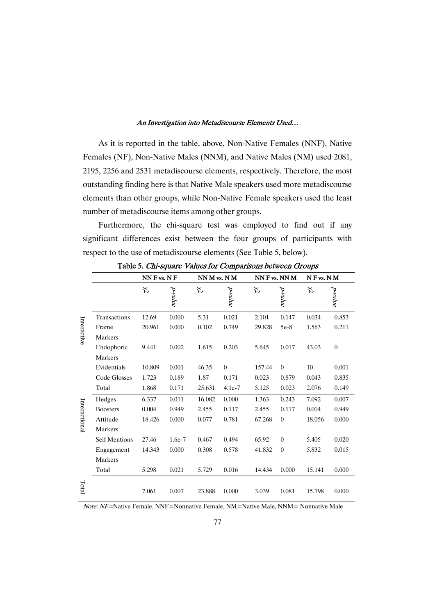As it is reported in the table, above, Non-Native Females (NNF), Native Females (NF), Non-Native Males (NNM), and Native Males (NM) used 2081, 2195, 2256 and 2531 metadiscourse elements, respectively. Therefore, the most outstanding finding here is that Native Male speakers used more metadiscourse elements than other groups, while Non-Native Female speakers used the least number of metadiscourse items among other groups.

Furthermore, the chi-square test was employed to find out if any significant differences exist between the four groups of participants with respect to the use of metadiscourse elements (See Table 5, below).

|               |                      | $NN$ F vs. $NF$ |          | NN M vs. N M |                | NN F vs. NN M |                | NF vs. NM |                                                                                                                       |
|---------------|----------------------|-----------------|----------|--------------|----------------|---------------|----------------|-----------|-----------------------------------------------------------------------------------------------------------------------|
|               |                      | X,              | p-value  | X,           | p-value        | ど             | p-value        | X,        |                                                                                                                       |
|               | Transactions         | 12.69           | 0.000    | 5.31         | 0.021          | 2.101         | 0.147          | 0.034     | 0.853                                                                                                                 |
|               | Frame                | 20.961          | 0.000    | 0.102        | 0.749          | 29.828        | $5e-8$         | 1.563     | 0.211                                                                                                                 |
| Interactive   | Markers              |                 |          |              |                |               |                |           | p-value<br>$\boldsymbol{0}$<br>0.001<br>0.835<br>0.149<br>0.007<br>0.949<br>0.000<br>0.020<br>0.015<br>0.000<br>0.000 |
|               | Endophoric           | 9.441           | 0.002    | 1.615        | 0.203          | 5.645         | 0.017          | 43.03     |                                                                                                                       |
|               | Markers              |                 |          |              |                |               |                |           |                                                                                                                       |
|               | Evidentials          | 10.809          | 0.001    | 46.35        | $\overline{0}$ | 157.44        | $\overline{0}$ | 10        |                                                                                                                       |
|               | Code Glosses         | 1.723           | 0.189    | 1.87         | 0.171          | 0.023         | 0.879          | 0.043     |                                                                                                                       |
|               | Total                | 1.868           | 0.171    | 25.631       | $4.1e-7$       | 5.125         | 0.023          | 2.076     |                                                                                                                       |
|               | Hedges               | 6.337           | 0.011    | 16.082       | 0.000          | 1.363         | 0.243          | 7.092     |                                                                                                                       |
| Interactional | <b>Boosters</b>      | 0.004           | 0.949    | 2.455        | 0.117          | 2.455         | 0.117          | 0.004     |                                                                                                                       |
|               | Attitude             | 18.426          | 0.000    | 0.077        | 0.781          | 67.268        | $\theta$       | 18.056    |                                                                                                                       |
|               | Markers              |                 |          |              |                |               |                |           |                                                                                                                       |
|               | <b>Self Mentions</b> | 27.46           | $1.6e-7$ | 0.467        | 0.494          | 65.92         | $\theta$       | 5.405     |                                                                                                                       |
|               | Engagement           | 14.343          | 0.000    | 0.308        | 0.578          | 41.832        | $\theta$       | 5.832     |                                                                                                                       |
|               | Markers              |                 |          |              |                |               |                |           |                                                                                                                       |
|               | Total                | 5.298           | 0.021    | 5.729        | 0.016          | 14.434        | 0.000          | 15.141    |                                                                                                                       |
| Total         |                      | 7.061           | 0.007    | 23.888       | 0.000          | 3.039         | 0.081          | 15.798    |                                                                                                                       |

Table 5. Chi-square Values for Comparisons between Groups

Note: NF=Native Female, NNF=Nonnative Female, NM=Native Male, NNM=Nonnative Male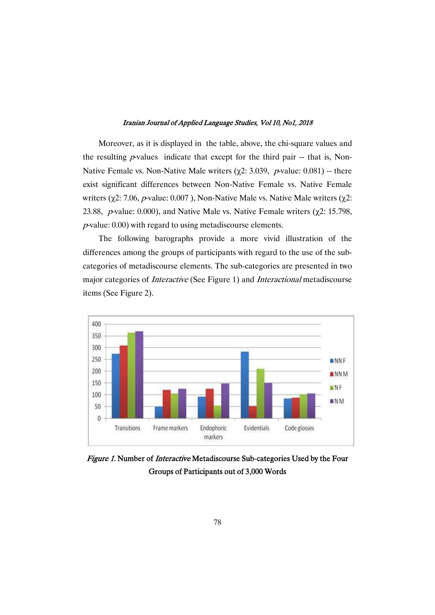Moreover, as it is displayed in the table, above, the chi-square values and the resulting  $p$ -values indicate that except for the third pair -- that is, Non-Native Female vs. Non-Native Male writers ( $\chi$ 2: 3.039, *p*-value: 0.081) -- there exist significant differences between Non-Native Female vs. Native Female writers ( $\chi$ 2: 7.06, *p*-value: 0.007), Non-Native Male vs. Native Male writers ( $\chi$ 2: 23.88, p-value: 0.000), and Native Malevs. Native Female writers ( $\chi$ 2: 15.798,  $p$ -value: 0.00) with regard to using metadiscourse elements.

The following barographs provide a more vivid illustration of the differences among the groups of participants with regard to the use of the subcategories of metadiscourse elements. The sub-categories are presented in two major categories of *Interactive* (See Figure 1) and *Interactional* metadiscourse items (See Figure 2).



Figure 1. Number of *Interactive* Metadiscourse Sub-categories Used by the Four Groups of Participants out of 3,000 Words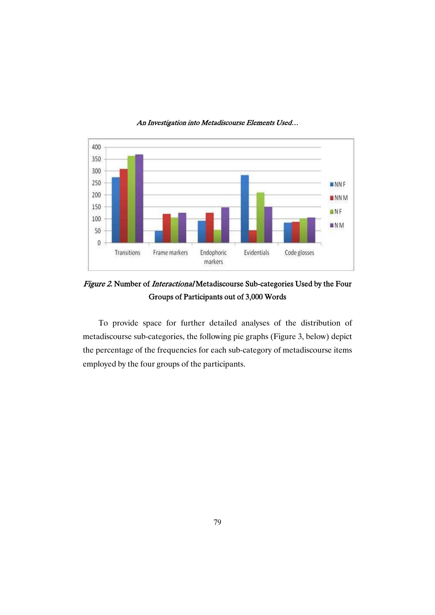

Figure 2. Number of *Interactional* Metadiscourse Sub-categories Used by the Four Groups of Participants out of 3,000 Words

To provide space for further detailed analyses of the distribution of metadiscourse sub-categories, the following pie graphs (Figure 3, below) depict the percentage of the frequencies for each sub-category of metadiscourse items employed by the four groups of the participants.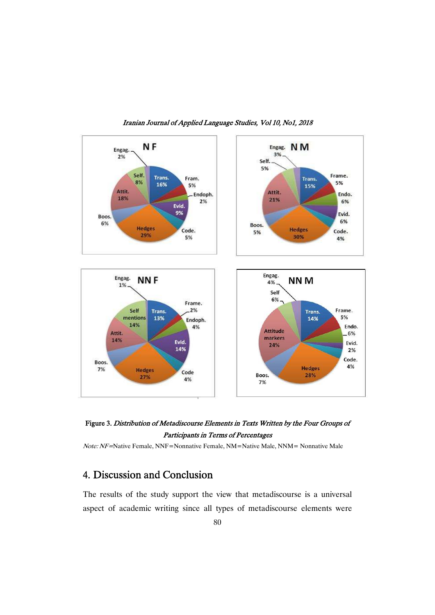



Note: NF=Native Female, NNF=Nonnative Female, NM=Native Male, NNM=Nonnative Male

## 4. Discussion and Conclusion

The results of the study support the view that metadiscourse is a universal aspect of academic writing since all types of metadiscourse elements were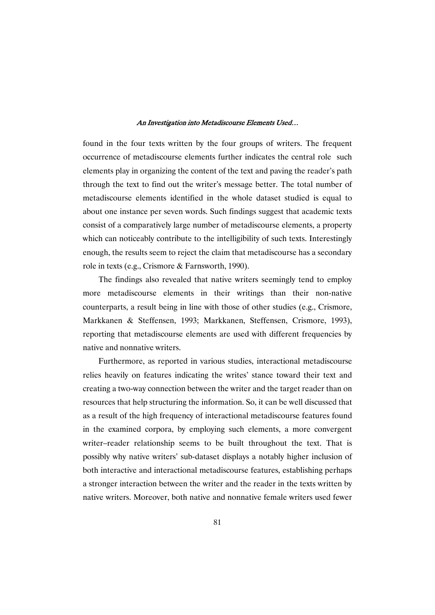found in the four texts written by the four groups of writers. The frequent occurrence of metadiscourse elements further indicates the central role such elements play in organizing the content of the text and paving the reader's path through the text to find out the writer's message better. The total number of metadiscourse elements identified in the whole dataset studied is equal to about one instance per seven words. Such findings suggest that academic texts consist of a comparatively large number of metadiscourse elements, a property which can noticeably contribute to the intelligibility of such texts. Interestingly enough, the results seem to reject the claim that metadiscourse has a secondary role in texts (e.g., Crismore & Farnsworth, 1990).

The findings also revealed that native writers seemingly tend to employ more metadiscourse elements in their writings than their non-native counterparts, a result being in line with those of other studies (e.g., Crismore, Markkanen & Steffensen, 1993; Markkanen, Steffensen, Crismore, 1993), reporting that metadiscourse elements are used with different frequencies by native and nonnative writers.

Furthermore, as reported in various studies, interactional metadiscourse relies heavily on features indicating the writes' stance toward their text and creating a two-way connection between the writer and the target reader than on resources that help structuring the information. So, it can be well discussed that as a result of the high frequency of interactional metadiscourse features found in the examined corpora, by employing such elements, a more convergent writer–reader relationship seems to be built throughout the text. That is possibly why native writers' sub-dataset displays a notably higher inclusion of both interactive and interactional metadiscourse features, establishing perhaps a stronger interaction between the writer and the reader in the texts written by native writers. Moreover, both native and nonnative female writers used fewer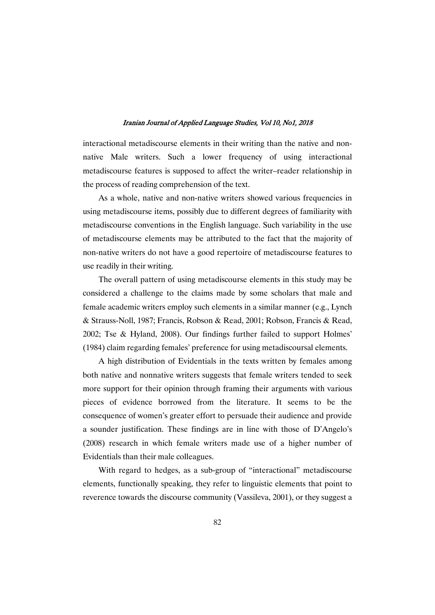interactional metadiscourse elements in their writing than the native and nonnative Male writers. Such a lower frequency of using interactional metadiscourse features is supposed to affect the writer–reader relationship in the process of reading comprehension of the text.

As a whole, native and non-native writers showed various frequencies in using metadiscourse items, possibly due to different degrees of familiarity with metadiscourse conventions in the English language. Such variability in the use of metadiscourse elements may be attributed to the fact that the majority of non-native writers do not have a good repertoire of metadiscourse features to use readily in their writing.

The overall pattern of using metadiscourse elements in this study may be considered a challenge to the claims made by some scholars that male and female academic writers employ such elements in a similar manner (e.g., Lynch &Strauss-Noll,1987;Francis,Robson&Read,2001;Robson,Francis&Read, 2002; Tse & Hyland, 2008). Our findings further failed to support Holmes' (1984) claim regarding females' preference for using metadiscoursal elements.

A high distribution of Evidentials in the texts written by females among both native and nonnative writers suggests that female writers tended to seek more support for their opinion through framing their arguments with various pieces of evidence borrowed from the literature. It seems to be the consequence of women's greater effort to persuade their audience and provide a sounder justification. These findings are in line with those of D'Angelo's (2008) research in which female writers made use of a higher number of Evidentials than their male colleagues.

With regard to hedges, as a sub-group of "interactional" metadiscourse elements, functionally speaking, they refer to linguistic elements that point to reverence towards the discourse community (Vassileva, 2001), or they suggest a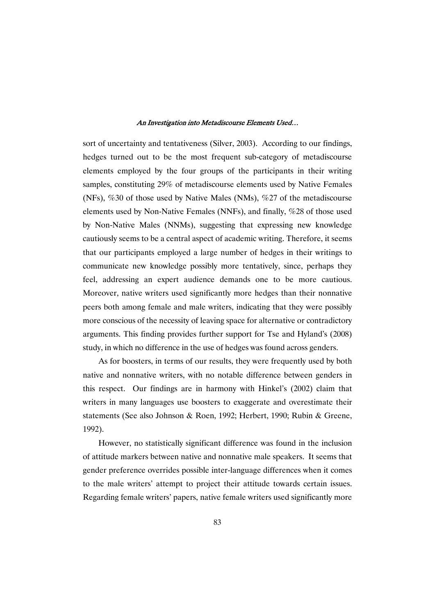sort of uncertainty and tentativeness (Silver, 2003). According to our findings, hedges turned out to be the most frequent sub-category of metadiscourse elements employed by the four groups of the participants in their writing samples, constituting 29% of metadiscourse elements used by Native Females (NFs),  $\%30$  of those used by Native Males (NMs),  $\%27$  of the metadiscourse elements used by Non-Native Females (NNFs), and finally, %28 of those used by Non-Native Males (NNMs), suggesting that expressing new knowledge cautiously seems to be a central aspect of academic writing. Therefore, it seems that our participants employed a large number of hedges in their writings to communicate new knowledge possibly more tentatively, since, perhaps they feel, addressing an expert audience demands one to be more cautious. Moreover, native writers used significantly more hedges than their nonnative peers both among female and male writers, indicating that they were possibly more conscious of the necessity of leaving space for alternative or contradictory arguments. This finding provides further support for Tse and Hyland's (2008) study, in which no difference in the use of hedges was found across genders.

As for boosters, in terms of our results, they were frequently used by both native and nonnative writers, with no notable difference between genders in this respect. Our findings are in harmony with Hinkel's (2002) claim that writers in many languages use boosters to exaggerate and overestimate their statements (See also Johnson & Roen, 1992; Herbert, 1990; Rubin & Greene, 1992).

However, no statistically significant difference was found in the inclusion of attitude markers between native and nonnative male speakers. It seems that gender preference overrides possible inter-language differences when it comes to the male writers' attempt to project their attitude towards certain issues. Regarding female writers' papers, native female writers used significantly more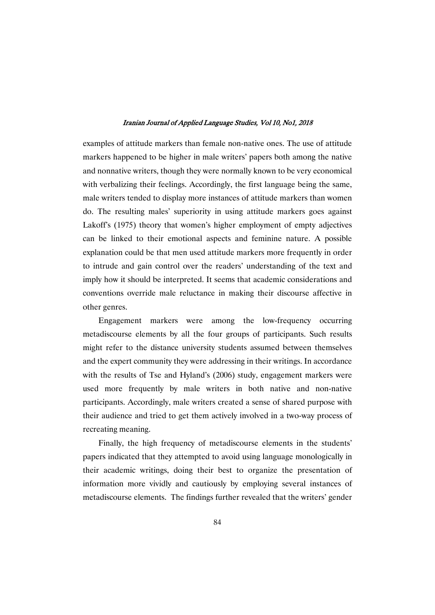examples of attitude markers than female non-native ones. The use of attitude markers happened to be higher in male writers' papers both among the native and nonnative writers, though they were normally known to be very economical with verbalizing their feelings. Accordingly, the first language being the same, male writers tended to display more instances of attitude markers than women do. The resulting males' superiority in using attitude markers goes against Lakoff's (1975) theory that women's higher employment of empty adjectives can be linked to their emotional aspects and feminine nature. A possible explanation could be that men used attitude markers more frequently in order to intrude and gain control over the readers' understanding of the text and imply how it should be interpreted. It seems that academic considerations and conventions override male reluctance in making their discourse affective in other genres.

Engagement markers were among the low-frequency occurring metadiscourse elements by all the four groups of participants. Such results might refer to the distance university students assumed between themselves and the expert community they were addressing in their writings. In accordance with the results of Tse and Hyland's (2006) study, engagement markers were used more frequently by male writers in both native and non-native participants. Accordingly, male writers created a sense of shared purpose with their audience and tried to get them actively involved in a two-way process of recreating meaning.

Finally, the high frequency of metadiscourse elements in the students' papers indicated that they attempted to avoid using language monologically in their academic writings, doing their best to organize the presentation of information more vividly and cautiously by employing several instances of metadiscourse elements. The findings further revealed that the writers' gender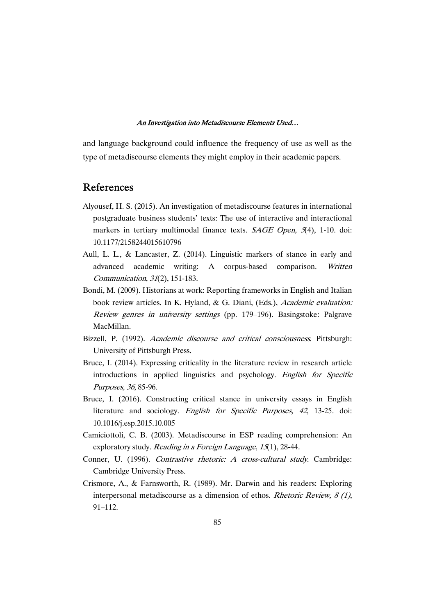and language background could influence the frequency of use as well as the type of metadiscourse elements they might employ in their academic papers.

### References

- Alyousef, H. S. (2015). An investigation of metadiscourse features in international postgraduate business students' texts: The use of interactive and interactional markers in tertiary multimodal finance texts. SAGE Open, 5(4), 1-10. doi: 10.1177/2158244015610796
- Aull, L. L., & Lancaster, Z. (2014). Linguistic markers of stance in early and advanced academic writing: A corpus-based comparison. Written Communication,31(2),151-183.
- Bondi, M. (2009). Historians at work: Reporting frameworks in English and Italian book review articles. In K. Hyland, & G. Diani, (Eds.), Academic evaluation: Review genres in university settings (pp. 179–196). Basingstoke: Palgrave MacMillan.
- Bizzell, P. (1992). Academic discourse and critical consciousness. Pittsburgh: University of Pittsburgh Press.
- Bruce, I. (2014). Expressing criticality in the literature review in research article introductions in applied linguistics and psychology. English for Specific Purposes, 36, 85-96.
- Bruce, I. (2016). Constructing critical stance in university essays in English literature and sociology. English for Specific Purposes, <sup>42</sup>, 13-25. doi: 10.1016/j.esp.2015.10.005
- Camiciottoli, C. B. (2003). Metadiscourse in ESP reading comprehension: An exploratory study. Reading in a Foreign Language,  $15(1)$ , 28-44.
- Conner, U. (1996). Contrastive rhetoric: A cross-cultural study. Cambridge: Cambridge University Press.
- Crismore, A., & Farnsworth, R. (1989). Mr. Darwin and his readers: Exploring interpersonal metadiscourse as a dimension of ethos. Rhetoric Review,  $8(1)$ , 91–112.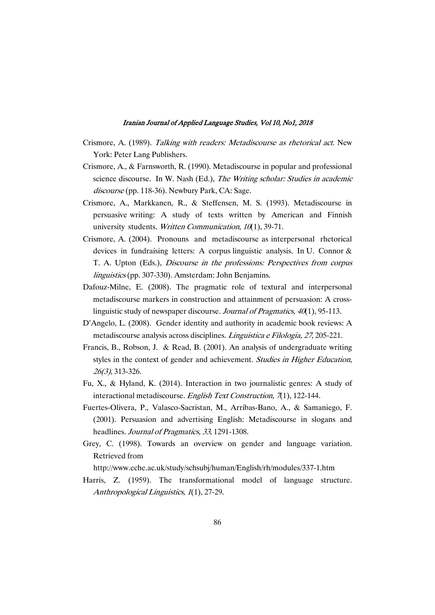- Crismore, A. (1989). Talking with readers: Metadiscourse as rhetorical act. New York: Peter Lang Publishers.
- Crismore, A., & Farnsworth, R. (1990). Metadiscourse in popular and professional science discourse. In W. Nash (Ed.), The Writing scholar: Studies in academic discourse (pp. 118-36). Newbury Park, CA: Sage.
- Crismore, A., Markkanen, R., & Steffensen, M. S. (1993). Metadiscourse in persuasive writing: A study of texts written by American and Finnish university students. Written Communication,  $10(1)$ , 39-71.
- Crismore, A. (2004). Pronouns and metadiscourse as interpersonal rhetorical devices in fundraising letters: A corpus linguistic analysis. In U. Connor  $\&$ T. A. Upton (Eds.), Discourse in the professions: Perspectives from corpus linguistics (pp. 307-330). Amsterdam: John Benjamins.
- Dafouz-Milne, E. (2008). The pragmatic role of textural and interpersonal metadiscourse markers in construction and attainment of persuasion: A crosslinguistic study of newspaper discourse. Journal of Pragmatics,  $40(1)$ , 95-113.
- D'Angelo, L. (2008). Gender identity and authority in academic book reviews: A metadiscourse analysis across disciplines. Linguistica e Filologia, 27, 205-221.
- Francis, B., Robson, J. & Read, B. (2001). An analysis of undergraduate writing styles in the context of gender and achievement. Studies in Higher Education, 26(3),313-326.
- Fu, X., & Hyland, K. (2014). Interaction in two journalistic genres: A study of interactional metadiscourse. English Text Construction,  $\pi$ 1), 122-144.
- Fuertes-Olivera, P., Valasco-Sacristan, M., Arribas-Bano, A., & Samaniego, F. (2001). Persuasion and advertising English: Metadiscourse in slogans and headlines. Journal of Pragmatics, 33, 1291-1308.
- Grey, C. (1998). Towards an overview on gender and language variation. Retrieved from

http://www.eche.ac.uk/study/schsubj/human/English/rh/modules/337-1.htm

Harris, Z. (1959). The transformational model of language structure. Anthropological Linguistics, 1(1), 27-29.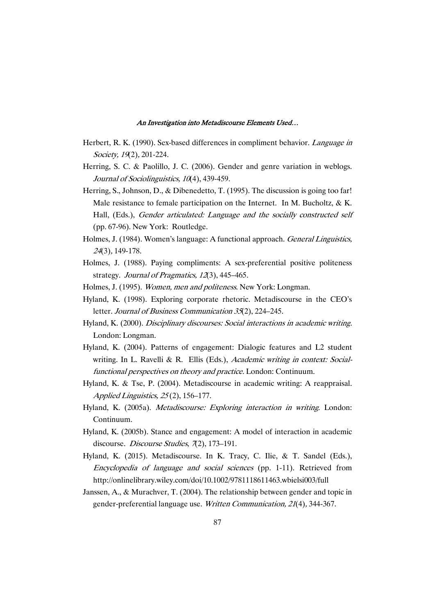- Herbert, R. K. (1990). Sex-based differences in compliment behavior. Language in Society, 19(2), 201-224.
- Herring, S. C. & Paolillo, J. C. (2006). Gender and genre variation in weblogs. Journal of Sociolinguistics, 10(4), 439-459.
- Herring, S., Johnson, D., & Dibenedetto, T. (1995). The discussion is going too far! Male resistance to female participation on the Internet. In M. Bucholtz,  $& K$ . Hall, (Eds.), Gender articulated: Language and the socially constructed self (pp. 67-96). New York: Routledge.
- Holmes, J. (1984). Women's language: A functional approach. *General Linguistics*, <sup>24</sup>(3),149-178.
- Holmes, J. (1988). Paying compliments: A sex-preferential positive politeness strategy. Journal of Pragmatics, 12(3), 445-465.
- Holmes, J. (1995). Women, men and politeness. New York: Longman.
- Hyland, K. (1998). Exploring corporate rhetoric. Metadiscourse in the CEO's letter. Journal of Business Communication 35(2), 224–245.
- Hyland, K. (2000). Disciplinary discourses: Social interactions in academic writing. London: Longman.
- Hyland, K. (2004). Patterns of engagement: Dialogic features and L2 student writing. In L. Ravelli & R. Ellis (Eds.), Academic writing in context: Socialfunctional perspectives on theory and practice. London: Continuum.
- Hyland, K. & Tse, P. (2004). Metadiscourse in academic writing: A reappraisal. Applied Linguistics, 25(2), 156–177.
- Hyland, K. (2005a). Metadiscourse: Exploring interaction in writing. London: Continuum.
- Hyland, K. (2005b). Stance and engagement: A model of interaction in academic discourse. Discourse Studies,  $\pi$ (2), 173–191.
- Hyland, K. (2015). Metadiscourse. In K. Tracy, C. Ilie, & T. Sandel (Eds.), Encyclopedia of language and social sciences (pp. 1-11). Retrieved from http://onlinelibrary.wiley.com/doi/10.1002/9781118611463.wbielsi003/full
- Janssen, A., & Murachver, T. (2004). The relationship between gender and topic in gender-preferential language use. Written Communication, 21(4), 344-367.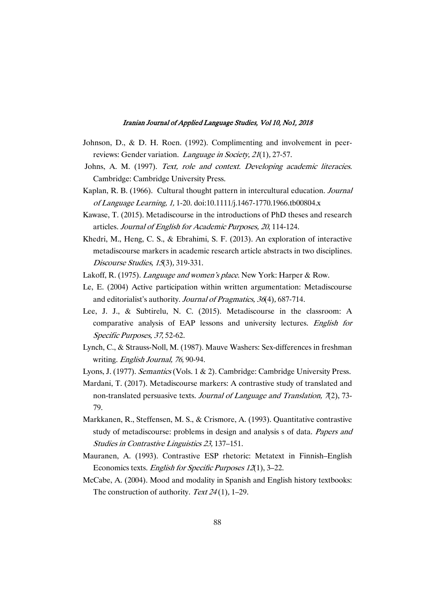- Johnson, D., & D. H. Roen. (1992). Complimenting and involvement in peerreviews: Gender variation. Language in Society, 21(1), 27-57.
- Johns, A. M. (1997). Text, role and context. Developing academic literacies. Cambridge: Cambridge University Press.
- Kaplan, R. B. (1966). Cultural thought pattern in intercultural education. *Journal* of Language Learning, 1, 1-20. doi:10.1111/j.1467-1770.1966.tb00804.x
- Kawase, T. (2015). Metadiscourse in the introductions of PhD theses and research articles. Journal of English for Academic Purposes, 20, 114-124.
- Khedri, M., Heng, C. S., & Ebrahimi, S. F. (2013). An exploration of interactive metadiscourse markers in academic research article abstracts in two disciplines. Discourse Studies,  $15(3)$ , 319-331.
- Lakoff, R. (1975). Language and women's place. New York: Harper & Row.
- Le, E. (2004) Active participation within written argumentation: Metadiscourse and editorialist's authority. Journal of Pragmatics, 36(4), 687-714.
- Lee, J. J., & Subtirelu, N. C. (2015). Metadiscourse in the classroom: A comparative analysis of EAP lessons and university lectures. English for Specific Purposes, 37, 52-62.
- Lynch, C., & Strauss-Noll, M. (1987). Mauve Washers: Sex-differences in freshman writing. English Journal, 76, 90-94.
- Lyons, J. (1977). Semantics (Vols. 1 & 2). Cambridge: Cambridge University Press.
- Mardani, T. (2017). Metadiscourse markers: A contrastive study of translated and non-translated persuasive texts. Journal of Language and Translation,  $7(2)$ ,  $73-$ 79.
- Markkanen, R., Steffensen, M. S., & Crismore, A. (1993). Quantitative contrastive study of metadiscourse: problems in design and analysis s of data. Papers and Studies in Contrastive Linguistics 23, 137–151.
- Mauranen, A. (1993). Contrastive ESP rhetoric: Metatext in Finnish–English Economics texts. English for Specific Purposes 12(1), 3–22.
- McCabe, A. (2004). Mood and modality in Spanish and English history textbooks: The construction of authority. Text  $24(1)$ , 1–29.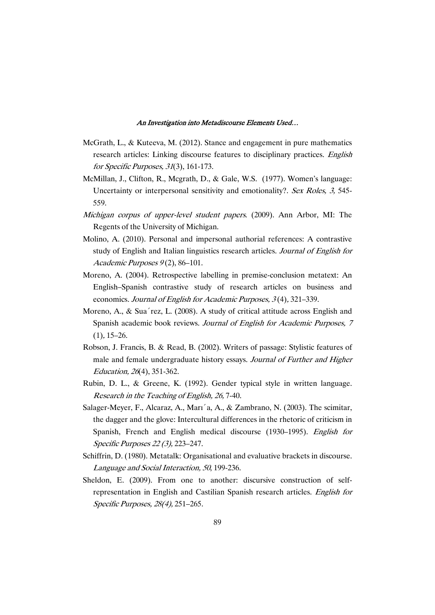- McGrath, L., & Kuteeva, M. (2012). Stance and engagement in pure mathematics research articles: Linking discourse features to disciplinary practices. English for Specific Purposes, 31(3), 161-173.
- McMillan, J., Clifton, R., Mcgrath, D., & Gale, W.S. (1977). Women's language: Uncertainty or interpersonal sensitivity and emotionality?. Sex Roles, 3, 545-559.
- Michigan corpus of upper-level student papers. (2009). Ann Arbor, MI: The Regents of the University of Michigan.
- Molino, A. (2010). Personal and impersonal authorial references: A contrastive study of English and Italian linguistics research articles. Journal of English for Academic Purposes  $9(2)$ , 86–101.
- Moreno, A. (2004). Retrospective labelling in premise-conclusion metatext: An English–Spanish contrastive study of research articles on business and economics. Journal of English for Academic Purposes, 3(4), 321–339.
- Moreno, A., & Sua´rez, L. (2008). A study of critical attitude across English and Spanish academic book reviews. Journal of English for Academic Purposes, 7  $(1), 15-26.$
- Robson, J. Francis, B. & Read, B. (2002). Writers of passage: Stylistic features of male and female undergraduate history essays. Journal of Further and Higher Education,26(4),351-362.
- Rubin, D. L., & Greene, K. (1992). Gender typical style in written language. Research in the Teaching of English, 26, 7-40.
- Salager-Meyer, F., Alcaraz, A., Marı´a, A., & Zambrano, N. (2003). The scimitar, the dagger and the glove: Intercultural differences in the rhetoric of criticism in Spanish, French and English medical discourse (1930–1995). English for Specific Purposes 22 (3), 223–247.
- Schiffrin, D. (1980). Metatalk: Organisational and evaluative brackets in discourse. Language and Social Interaction, 50, 199-236.
- Sheldon, E. (2009). From one to another: discursive construction of selfrepresentation in English and Castilian Spanish research articles. English for Specific Purposes, 28(4), 251-265.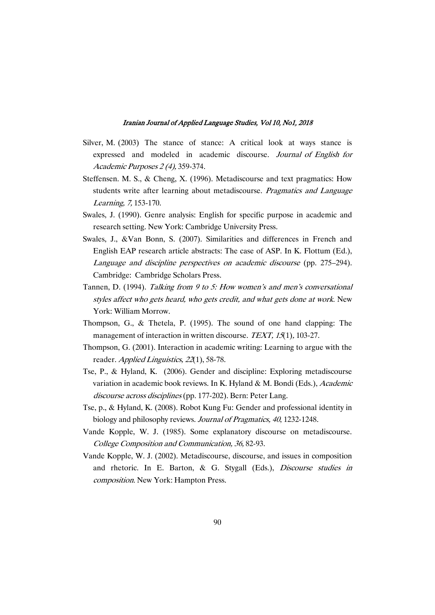- Silver, M. (2003) The stance of stance: A critical look at ways stance is expressed and modeled in academic discourse. Journal of English for Academic Purposes 2 (4), 359-374.
- Steffensen. M. S.,  $\&$  Cheng, X. (1996). Metadiscourse and text pragmatics: How students write after learning about metadiscourse. *Pragmatics and Language* Learning, 7, 153-170.
- Swales, J. (1990). Genre analysis: English for specific purpose in academic and research setting. New York: Cambridge University Press.
- Swales, J., &Van Bonn, S. (2007). Similarities and differences in French and English EAP research article abstracts: The case of ASP. In K. Flottum (Ed.), Language and discipline perspectives on academic discourse (pp. 275–294). Cambridge: Cambridge Scholars Press.
- Tannen, D. (1994). Talking from 9 to 5: How women's and men's conversational styles affect who gets heard, who gets credit, and what gets done at work. New York: William Morrow.
- Thompson, G., & Thetela, P. (1995). The sound of one hand clapping: The management of interaction in written discourse. TEXT,  $15(1)$ , 103-27.
- Thompson, G. (2001). Interaction in academic writing: Learning to argue with the reader. Applied Linguistics, 22(1), 58-78.
- Tse, P., & Hyland, K. (2006). Gender and discipline: Exploring metadiscourse variation in academic book reviews. In K. Hyland & M. Bondi (Eds.), Academic discourse across disciplines (pp. 177-202). Bern: Peter Lang.
- Tse, p., & Hyland, K. (2008). Robot Kung Fu: Gender and professional identity in biology and philosophy reviews. Journal of Pragmatics, 40, 1232-1248.
- Vande Kopple, W. J. (1985). Some explanatory discourse on metadiscourse. College Composition and Communication, 36, 82-93.
- Vande Kopple, W. J. (2002). Metadiscourse, discourse, and issues in composition and rhetoric. In E. Barton, & G. Stygall (Eds.), Discourse studies in composition. New York: Hampton Press.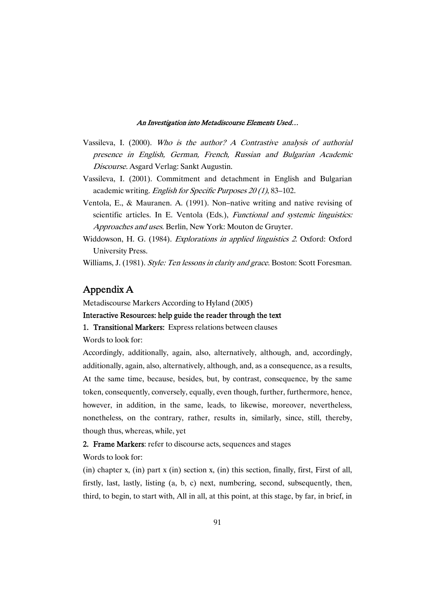- Vassileva, I. (2000). Who is the author? A Contrastive analysis of authorial presence in English, German, French, Russian and Bulgarian Academic Discourse. Asgard Verlag: Sankt Augustin.
- Vassileva, I. (2001). Commitment and detachment in English and Bulgarian academic writing. English for Specific Purposes  $20(1)$ , 83–102.
- Ventola, E., & Mauranen. A. (1991). Non–native writing and native revising of scientific articles. In E. Ventola (Eds.), *Functional and systemic linguistics:* Approaches and uses. Berlin, New York: Mouton de Gruyter.
- Widdowson, H. G. (1984). Explorations in applied linguistics 2. Oxford: Oxford University Press.

Williams, J. (1981). Style: Ten lessons in clarity and grace. Boston: Scott Foresman.

## AppendixA

Metadiscourse Markers According to Hyland (2005)

### Interactive Resources: help guide the reader through the text

#### 1. Transitional Markers: Express relations between clauses

Words to look for:

Accordingly, additionally, again, also, alternatively, although, and, accordingly, additionally, again, also, alternatively, although, and, as a consequence, as a results, At the same time, because, besides, but, by contrast, consequence, by the same token, consequently, conversely, equally, even though, further, furthermore, hence, however, in addition, in the same, leads, to likewise, moreover, nevertheless, nonetheless, on the contrary, rather, results in, similarly, since, still, thereby, though thus, whereas, while, yet

## 2. Frame Markers: refer to discourse acts, sequences and stages

Words to look for:

(in) chapter x, (in) part x (in) section x, (in) this section, finally, first, First of all, firstly, last, lastly, listing (a, b, c) next, numbering, second, subsequently, then, third, to begin, to start with, All in all, at this point, at this stage, by far, in brief, in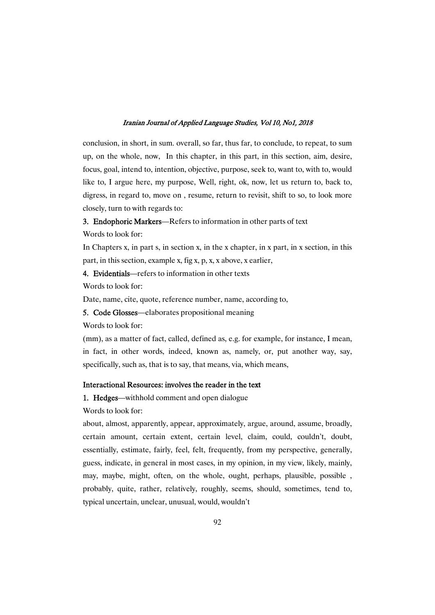conclusion, in short, in sum. overall, so far, thus far, to conclude, to repeat, to sum up, on the whole, now, In this chapter, in this part, in this section, aim, desire, focus, goal, intend to, intention, objective, purpose, seek to, want to, with to, would like to, I argue here, my purpose, Well, right, ok, now, let us return to, back to, digress, in regard to, move on, resume, return to revisit, shift to so, to look more closely, turn to with regards to:

### 3. Endophoric Markers—Refers to information in other parts of text

Words to look for:

In Chapters x, in part s, in section x, in the x chapter, in x part, in x section, in this part, in this section, example x, fig x, p, x, x above, x earlier,

4. Evidentials—refers to information in other texts

Words to look for:

Date, name, cite, quote, reference number, name, according to,

5. Code Glosses—elaborates propositional meaning

Words to look for:

(mm), as a matter of fact, called, defined as, e.g. for example, for instance, I mean, in fact, in other words, indeed, known as, namely, or, put another way, say, specifically, such as, that is to say, that means, via, which means,

### Interactional Resources: involves the reader in the text

1. Hedges—withhold comment and open dialogue

Words to look for:

about, almost, apparently, appear, approximately, argue, around, assume, broadly, certain amount, certain extent, certain level, claim, could, couldn't, doubt, essentially, estimate, fairly, feel, felt, frequently, from my perspective, generally, guess, indicate, in general in most cases, in my opinion, in my view, likely, mainly, may, maybe, might, often, on the whole, ought, perhaps, plausible, possible , probably, quite, rather, relatively, roughly, seems, should, sometimes, tend to, typical uncertain, unclear, unusual, would, wouldn't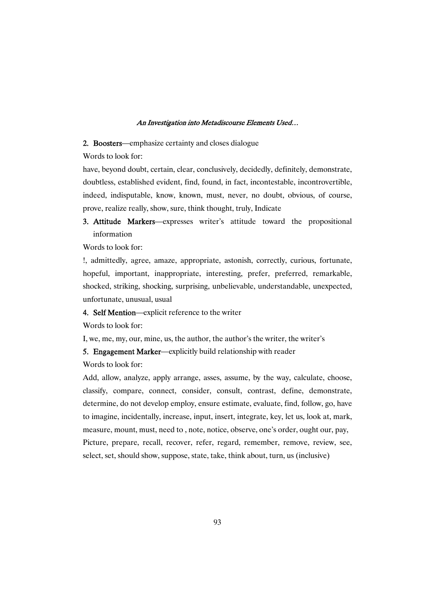#### 2. Boosters—emphasize certainty and closes dialogue

Words to look for:

have, beyond doubt, certain, clear, conclusively, decidedly, definitely, demonstrate, doubtless, established evident, find, found, in fact, incontestable, incontrovertible, indeed, indisputable, know, known, must, never, no doubt, obvious, of course, prove, realize really, show, sure, think thought, truly, Indicate

## 3. Attitude Markers—expresses writer's attitude toward the propositional information

Words to look for:

!, admittedly, agree, amaze, appropriate, astonish, correctly, curious, fortunate, hopeful, important, inappropriate, interesting, prefer, preferred, remarkable, shocked, striking, shocking, surprising, unbelievable, understandable, unexpected, unfortunate, unusual, usual

#### 4. Self Mention—explicit reference to the writer

Words to look for:

I, we, me, my, our, mine, us, the author, the author's the writer, the writer's

5. Engagement Marker—explicitly build relationship with reader

#### Words to look for:

Add, allow, analyze, apply arrange, asses, assume, by the way, calculate, choose, classify, compare, connect, consider, consult, contrast, define, demonstrate, determine, do not develop employ, ensure estimate, evaluate, find, follow, go, have to imagine, incidentally, increase, input, insert, integrate, key, let us, look at, mark, measure, mount, must, need to, note, notice, observe, one's order, ought our, pay, Picture, prepare, recall, recover, refer, regard, remember, remove, review, see, select, set, should show, suppose, state, take, think about, turn, us (inclusive)